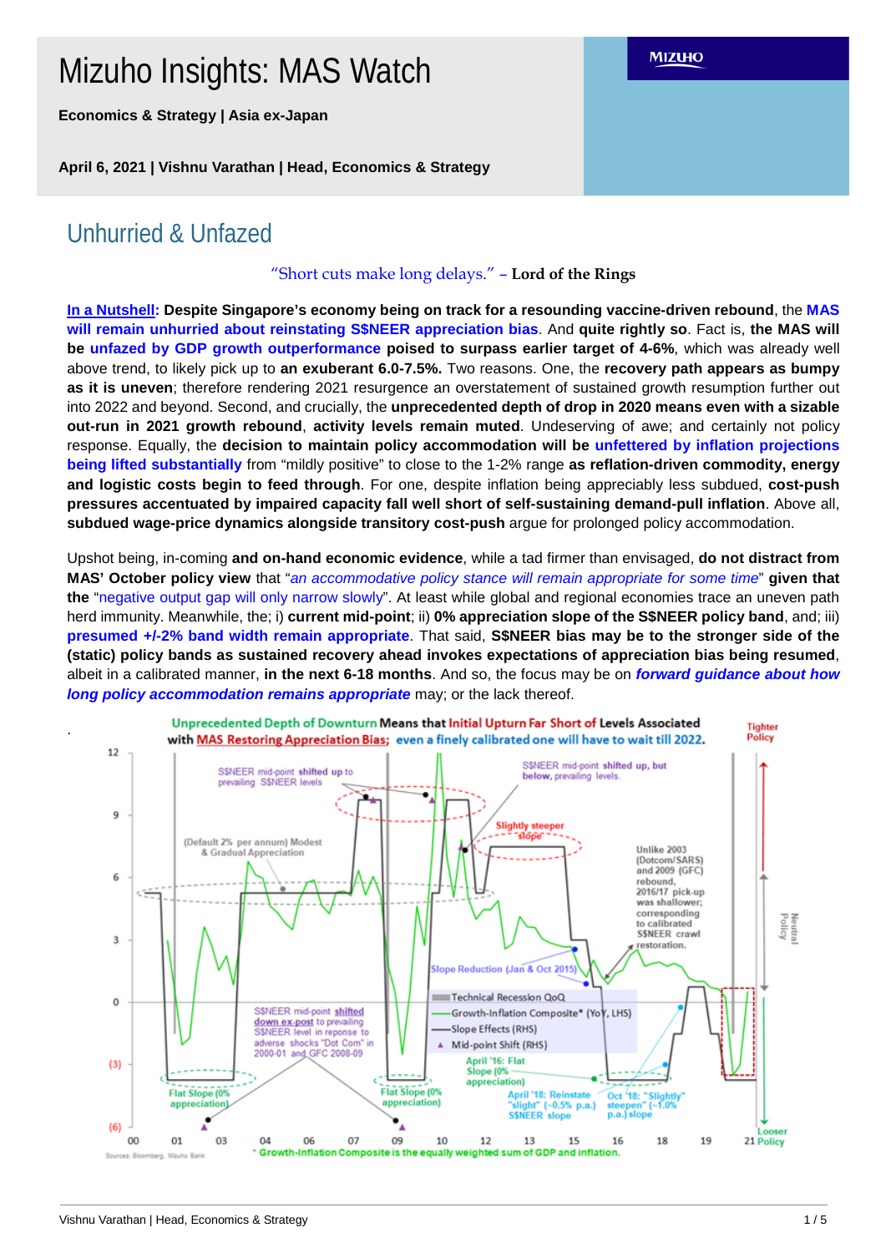# Mizuho Insights: MAS Watch

**Economics & Strategy | Asia ex-Japan**

**April 6, 2021 | Vishnu Varathan | Head, Economics & Strategy**

# Unhurried & Unfazed

.

## "Short cuts make long delays." – **Lord of the Rings**

**In a Nutshell: Despite Singapore's economy being on track for a resounding vaccine-driven rebound**, the **MAS will remain unhurried about reinstating S\$NEER appreciation bias**. And **quite rightly so**. Fact is, **the MAS will be unfazed by GDP growth outperformance poised to surpass earlier target of 4-6%**, which was already well above trend, to likely pick up to **an exuberant 6.0-7.5%.** Two reasons. One, the **recovery path appears as bumpy as it is uneven**; therefore rendering 2021 resurgence an overstatement of sustained growth resumption further out into 2022 and beyond. Second, and crucially, the **unprecedented depth of drop in 2020 means even with a sizable out-run in 2021 growth rebound**, **activity levels remain muted**. Undeserving of awe; and certainly not policy response. Equally, the **decision to maintain policy accommodation will be unfettered by inflation projections being lifted substantially** from "mildly positive" to close to the 1-2% range **as reflation-driven commodity, energy and logistic costs begin to feed through**. For one, despite inflation being appreciably less subdued, **cost-push pressures accentuated by impaired capacity fall well short of self-sustaining demand-pull inflation**. Above all, **subdued wage-price dynamics alongside transitory cost-push** argue for prolonged policy accommodation.

Upshot being, in-coming **and on-hand economic evidence**, while a tad firmer than envisaged, **do not distract from MAS' October policy view** that "*an accommodative policy stance will remain appropriate for some time*" **given that the** "negative output gap will only narrow slowly". At least while global and regional economies trace an uneven path herd immunity. Meanwhile, the; i) **current mid-point**; ii) **0% appreciation slope of the S\$NEER policy band**, and; iii) **presumed +/-2% band width remain appropriate**. That said, **S\$NEER bias may be to the stronger side of the (static) policy bands as sustained recovery ahead invokes expectations of appreciation bias being resumed**, albeit in a calibrated manner, **in the next 6-18 months**. And so, the focus may be on *forward guidance about how long policy accommodation remains appropriate* may; or the lack thereof.



**MIZUHO**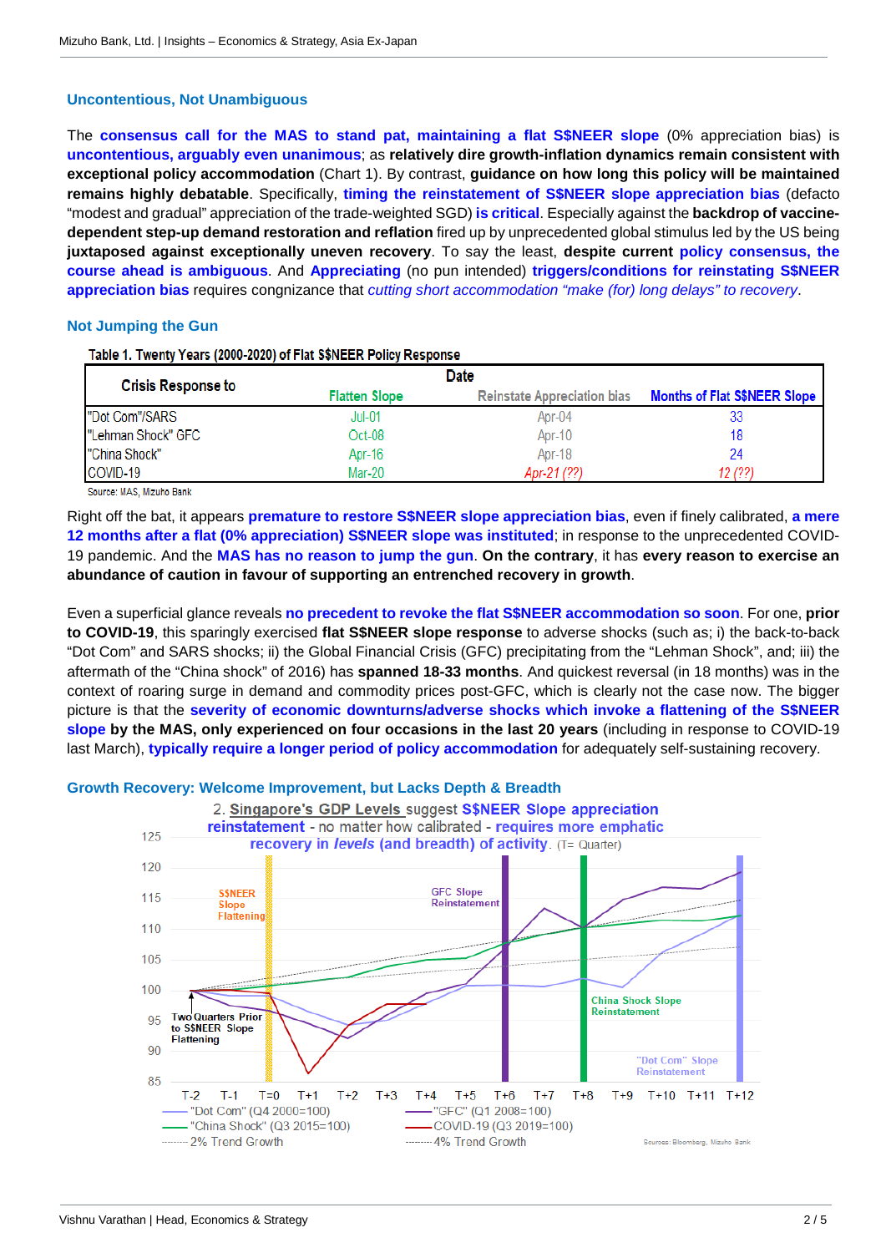#### **Uncontentious, Not Unambiguous**

The **consensus call for the MAS to stand pat, maintaining a flat S\$NEER slope** (0% appreciation bias) is **uncontentious, arguably even unanimous**; as **relatively dire growth-inflation dynamics remain consistent with exceptional policy accommodation** (Chart 1). By contrast, **guidance on how long this policy will be maintained remains highly debatable**. Specifically, **timing the reinstatement of S\$NEER slope appreciation bias** (defacto "modest and gradual" appreciation of the trade-weighted SGD) **is critical**. Especially against the **backdrop of vaccinedependent step-up demand restoration and reflation** fired up by unprecedented global stimulus led by the US being **juxtaposed against exceptionally uneven recovery**. To say the least, **despite current policy consensus, the course ahead is ambiguous**. And **Appreciating** (no pun intended) **triggers/conditions for reinstating S\$NEER appreciation bias** requires congnizance that *cutting short accommodation "make (for) long delays" to recovery*.

### **Not Jumping the Gun**

Table 1. Twenty Years (2000-2020) of Flat S\$NEER Policy Response

| <b>Crisis Response to</b> | Date                 |                                    |                                     |
|---------------------------|----------------------|------------------------------------|-------------------------------------|
|                           | <b>Flatten Slope</b> | <b>Reinstate Appreciation bias</b> | <b>Months of Flat S\$NEER Slope</b> |
| "Dot Com"/SARS            | $Jul-01$             | Apr-04                             | 33                                  |
| "Lehman Shock" GFC        | Oct-08               | Apr-10                             | 18                                  |
| "China Shock"             | Apr-16               | Apr-18                             | 24                                  |
| COVID-19                  | Mar-20               | Apr-21 (??)                        | 12 (??)                             |

Source: MAS, Mizuho Bank

Right off the bat, it appears **premature to restore S\$NEER slope appreciation bias**, even if finely calibrated, **a mere 12 months after a flat (0% appreciation) S\$NEER slope was instituted**; in response to the unprecedented COVID-19 pandemic. And the **MAS has no reason to jump the gun**. **On the contrary**, it has **every reason to exercise an abundance of caution in favour of supporting an entrenched recovery in growth**.

Even a superficial glance reveals **no precedent to revoke the flat S\$NEER accommodation so soon**. For one, **prior to COVID-19**, this sparingly exercised **flat S\$NEER slope response** to adverse shocks (such as; i) the back-to-back "Dot Com" and SARS shocks; ii) the Global Financial Crisis (GFC) precipitating from the "Lehman Shock", and; iii) the aftermath of the "China shock" of 2016) has **spanned 18-33 months**. And quickest reversal (in 18 months) was in the context of roaring surge in demand and commodity prices post-GFC, which is clearly not the case now. The bigger picture is that the **severity of economic downturns/adverse shocks which invoke a flattening of the S\$NEER slope by the MAS, only experienced on four occasions in the last 20 years** (including in response to COVID-19 last March), **typically require a longer period of policy accommodation** for adequately self-sustaining recovery.

**Growth Recovery: Welcome Improvement, but Lacks Depth & Breadth**

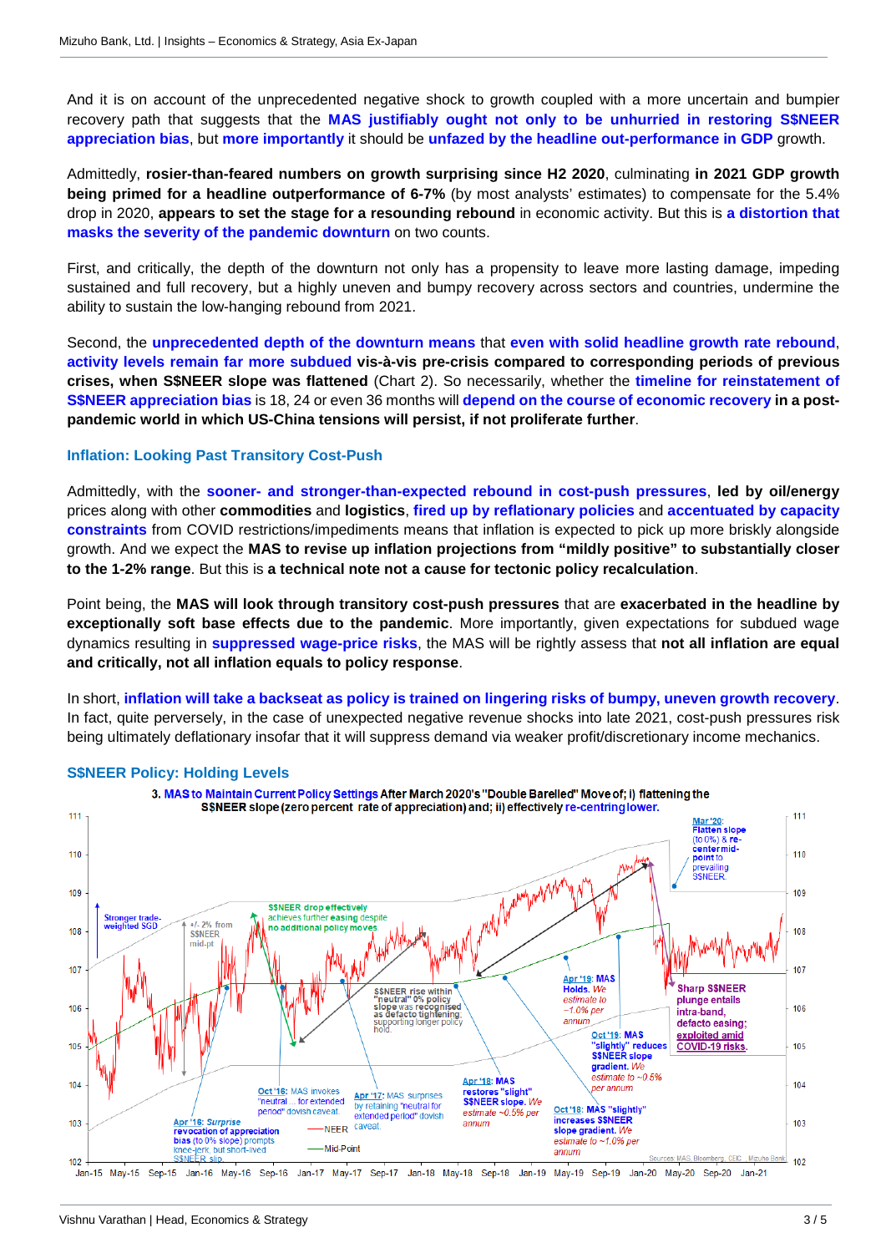And it is on account of the unprecedented negative shock to growth coupled with a more uncertain and bumpier recovery path that suggests that the **MAS justifiably ought not only to be unhurried in restoring S\$NEER appreciation bias**, but **more importantly** it should be **unfazed by the headline out-performance in GDP** growth.

Admittedly, **rosier-than-feared numbers on growth surprising since H2 2020**, culminating **in 2021 GDP growth being primed for a headline outperformance of 6-7%** (by most analysts' estimates) to compensate for the 5.4% drop in 2020, **appears to set the stage for a resounding rebound** in economic activity. But this is **a distortion that masks the severity of the pandemic downturn** on two counts.

First, and critically, the depth of the downturn not only has a propensity to leave more lasting damage, impeding sustained and full recovery, but a highly uneven and bumpy recovery across sectors and countries, undermine the ability to sustain the low-hanging rebound from 2021.

Second, the **unprecedented depth of the downturn means** that **even with solid headline growth rate rebound**, **activity levels remain far more subdued vis-à-vis pre-crisis compared to corresponding periods of previous crises, when S\$NEER slope was flattened** (Chart 2). So necessarily, whether the **timeline for reinstatement of S\$NEER appreciation bias** is 18, 24 or even 36 months will **depend on the course of economic recovery in a postpandemic world in which US-China tensions will persist, if not proliferate further**.

#### **Inflation: Looking Past Transitory Cost-Push**

Admittedly, with the **sooner- and stronger-than-expected rebound in cost-push pressures**, **led by oil/energy** prices along with other **commodities** and **logistics**, **fired up by reflationary policies** and **accentuated by capacity constraints** from COVID restrictions/impediments means that inflation is expected to pick up more briskly alongside growth. And we expect the **MAS to revise up inflation projections from "mildly positive" to substantially closer to the 1-2% range**. But this is **a technical note not a cause for tectonic policy recalculation**.

Point being, the **MAS will look through transitory cost-push pressures** that are **exacerbated in the headline by exceptionally soft base effects due to the pandemic**. More importantly, given expectations for subdued wage dynamics resulting in **suppressed wage-price risks**, the MAS will be rightly assess that **not all inflation are equal and critically, not all inflation equals to policy response**.

In short, **inflation will take a backseat as policy is trained on lingering risks of bumpy, uneven growth recovery**. In fact, quite perversely, in the case of unexpected negative revenue shocks into late 2021, cost-push pressures risk being ultimately deflationary insofar that it will suppress demand via weaker profit/discretionary income mechanics.



#### **S\$NEER Policy: Holding Levels**

Jan-15 May-15 Sep-15 Jan-16 May-16 Sep-16 Jan-17 May-17 Sep-17 Jan-18 May-18 Sep-18 Jan-19 May-19 Sep-19 Jan-20 May-20 Sep-20 Jan-21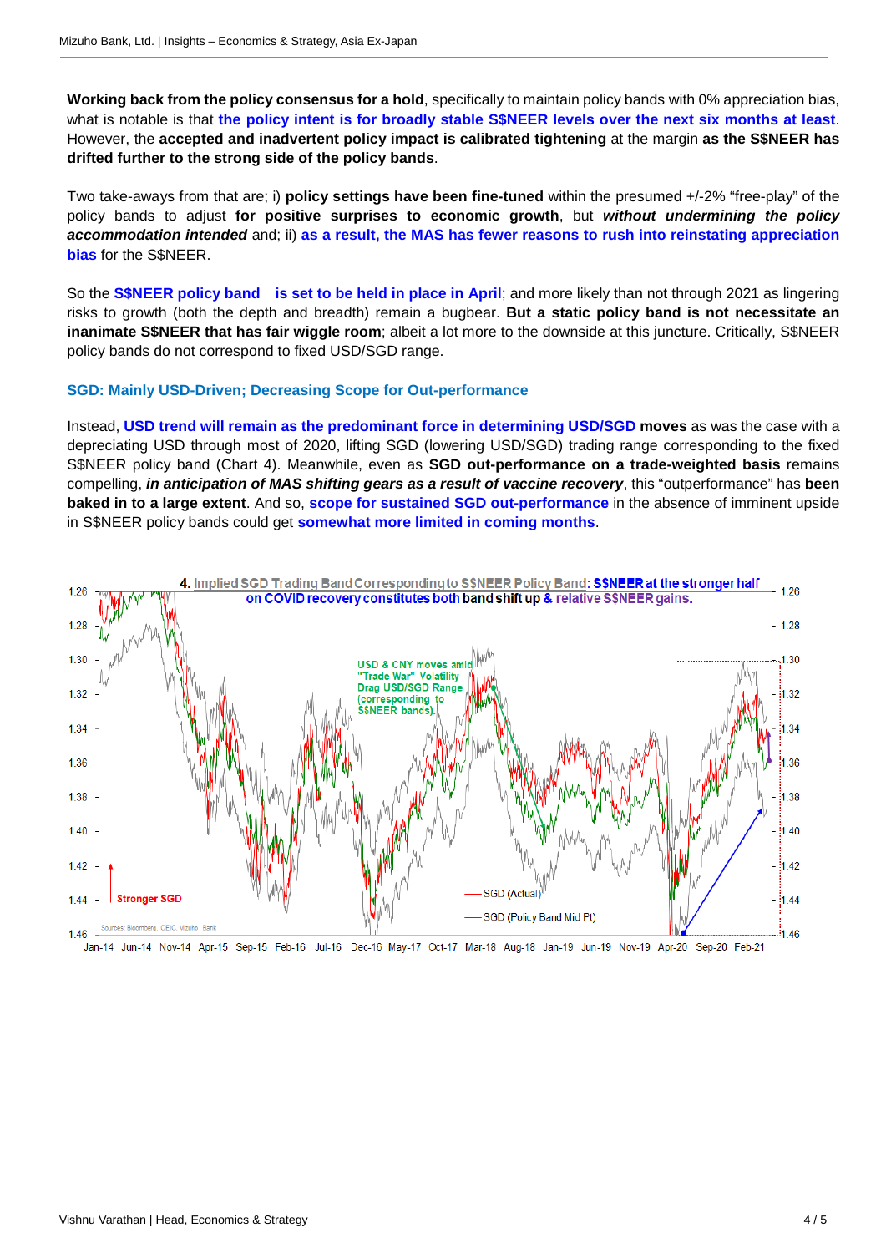**Working back from the policy consensus for a hold**, specifically to maintain policy bands with 0% appreciation bias, what is notable is that **the policy intent is for broadly stable S\$NEER levels over the next six months at least**. However, the **accepted and inadvertent policy impact is calibrated tightening** at the margin **as the S\$NEER has drifted further to the strong side of the policy bands**.

Two take-aways from that are; i) **policy settings have been fine-tuned** within the presumed +/-2% "free-play" of the policy bands to adjust **for positive surprises to economic growth**, but *without undermining the policy accommodation intended* and; ii) **as a result, the MAS has fewer reasons to rush into reinstating appreciation bias** for the S\$NEER.

So the **S\$NEER policy band is set to be held in place in April**; and more likely than not through 2021 as lingering risks to growth (both the depth and breadth) remain a bugbear. **But a static policy band is not necessitate an inanimate S\$NEER that has fair wiggle room**; albeit a lot more to the downside at this juncture. Critically, S\$NEER policy bands do not correspond to fixed USD/SGD range.

#### **SGD: Mainly USD-Driven; Decreasing Scope for Out-performance**

Instead, **USD trend will remain as the predominant force in determining USD/SGD moves** as was the case with a depreciating USD through most of 2020, lifting SGD (lowering USD/SGD) trading range corresponding to the fixed S\$NEER policy band (Chart 4). Meanwhile, even as **SGD out-performance on a trade-weighted basis** remains compelling, *in anticipation of MAS shifting gears as a result of vaccine recovery*, this "outperformance" has **been baked in to a large extent**. And so, **scope for sustained SGD out-performance** in the absence of imminent upside in S\$NEER policy bands could get **somewhat more limited in coming months**.



Jan-14 Jun-14 Nov-14 Apr-15 Sep-15 Feb-16 Jul-16 Dec-16 May-17 Oct-17 Mar-18 Aug-18 Jan-19 Jun-19 Nov-19 Apr-20 Sep-20 Feb-21